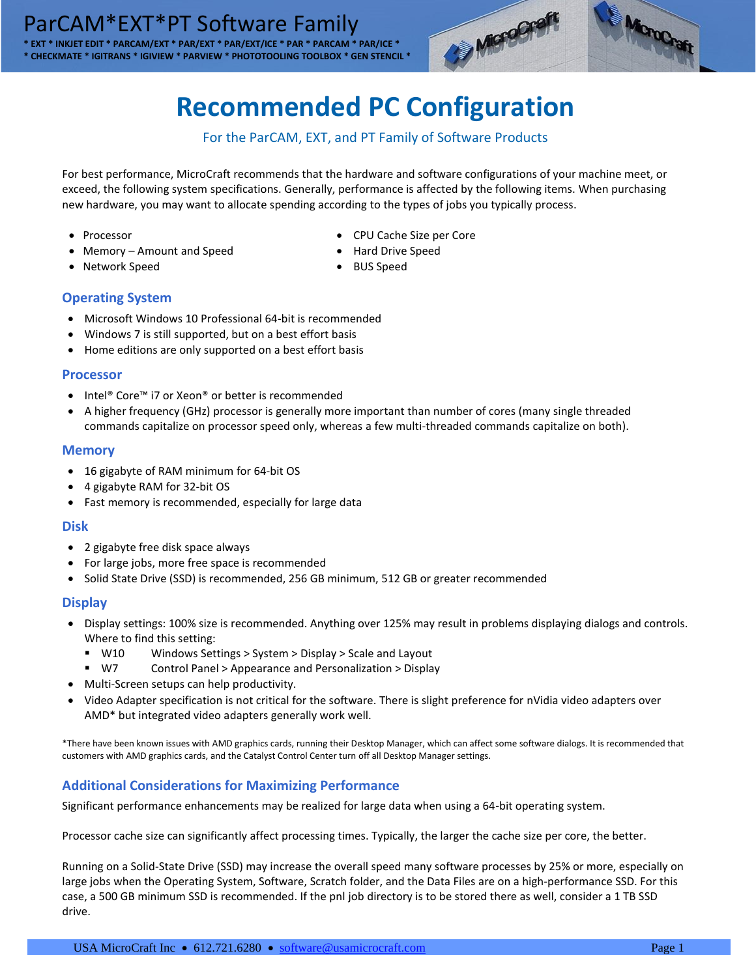

# **Recommended PC Configuration**

## For the ParCAM, EXT, and PT Family of Software Products

For best performance, MicroCraft recommends that the hardware and software configurations of your machine meet, or exceed, the following system specifications. Generally, performance is affected by the following items. When purchasing new hardware, you may want to allocate spending according to the types of jobs you typically process.

- Processor
- Memory Amount and Speed

• CPU Cache Size per Core

MoreGraft

- Hard Drive Speed
- **Part Act work Speed Figure 1 Act was a Second Figure 3 Act of Speed Figure 3 Act of Speed Figure 3 Act of Speed**

## **Operating System**

- Microsoft Windows 10 Professional 64-bit is recommended
- Windows 7 is still supported, but on a best effort basis
- Home editions are only supported on a best effort basis

## **Processor**

- Intel® Core™ i7 or Xeon® or better is recommended
- A higher frequency (GHz) processor is generally more important than number of cores (many single threaded commands capitalize on processor speed only, whereas a few multi-threaded commands capitalize on both).

## **Memory**

- 16 gigabyte of RAM minimum for 64-bit OS
- 4 gigabyte RAM for 32-bit OS
- Fast memory is recommended, especially for large data

## **Disk**

- 2 gigabyte free disk space always
- For large jobs, more free space is recommended
- Solid State Drive (SSD) is recommended, 256 GB minimum, 512 GB or greater recommended

## **Display**

- Display settings: 100% size is recommended. Anything over 125% may result in problems displaying dialogs and controls. Where to find this setting:
	- W10 Windows Settings > System > Display > Scale and Layout
	- W7 Control Panel > Appearance and Personalization > Display
- Multi-Screen setups can help productivity.
- Video Adapter specification is not critical for the software. There is slight preference for nVidia video adapters over AMD\* but integrated video adapters generally work well.

\*There have been known issues with AMD graphics cards, running their Desktop Manager, which can affect some software dialogs. It is recommended that customers with AMD graphics cards, and the Catalyst Control Center turn off all Desktop Manager settings.

## **Additional Considerations for Maximizing Performance**

Significant performance enhancements may be realized for large data when using a 64-bit operating system.

Processor cache size can significantly affect processing times. Typically, the larger the cache size per core, the better.

Running on a Solid-State Drive (SSD) may increase the overall speed many software processes by 25% or more, especially on large jobs when the Operating System, Software, Scratch folder, and the Data Files are on a high-performance SSD. For this case, a 500 GB minimum SSD is recommended. If the pnl job directory is to be stored there as well, consider a 1 TB SSD drive.